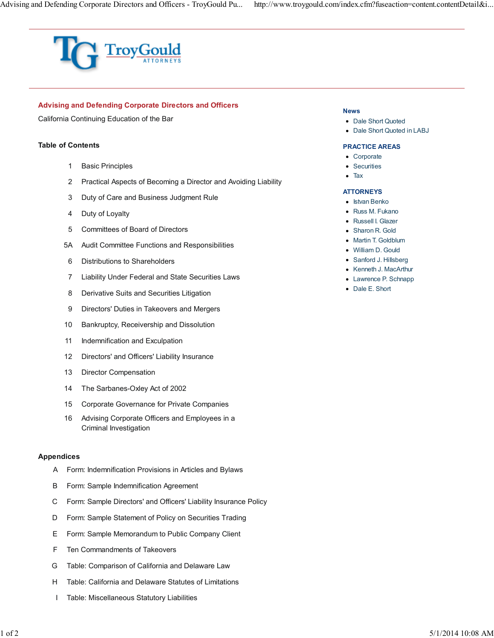

# **Advising and Defending Corporate Directors and Officers**

California Continuing Education of the Bar

## **Table of Contents**

- 1 Basic Principles
- 2 Practical Aspects of Becoming a Director and Avoiding Liability
- 3 Duty of Care and Business Judgment Rule
- 4 Duty of Loyalty
- 5 Committees of Board of Directors
- 5A Audit Committee Functions and Responsibilities
- 6 Distributions to Shareholders
- 7 Liability Under Federal and State Securities Laws
- 8 Derivative Suits and Securities Litigation
- 9 Directors' Duties in Takeovers and Mergers
- 10 Bankruptcy, Receivership and Dissolution
- 11 Indemnification and Exculpation
- 12 Directors' and Officers' Liability Insurance
- 13 Director Compensation
- 14 The Sarbanes<Oxley Act of 2002
- 15 Corporate Governance for Private Companies
- 16 Advising Corporate Officers and Employees in a Criminal Investigation

## **Appendices**

- A Form: Indemnification Provisions in Articles and Bylaws
- B Form: Sample Indemnification Agreement
- C Form: Sample Directors' and Officers' Liability Insurance Policy
- D Form: Sample Statement of Policy on Securities Trading
- E Form: Sample Memorandum to Public Company Client
- F Ten Commandments of Takeovers
- G Table: Comparison of California and Delaware Law
- H Table: California and Delaware Statutes of Limitations
- I Table: Miscellaneous Statutory Liabilities

#### **News**

- Dale Short Quoted
- Dale Short Quoted in LABJ

#### **PRACTICE AREAS**

- Corporate
- Securities
- Tax

## **ATTORNEYS**

- Istvan Benko
- Russ M. Fukano
- Russell I. Glazer
- Sharon R. Gold
- Martin T. Goldblum
- William D. Gould
- Sanford J. Hillsberg
- Kenneth J. MacArthur
- Lawrence P. Schnapp
- Dale E. Short